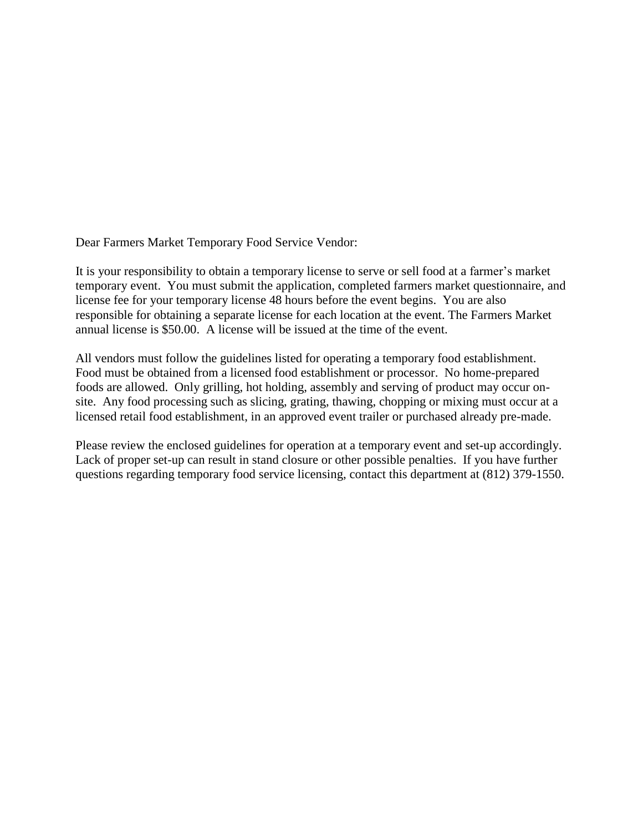Dear Farmers Market Temporary Food Service Vendor:

It is your responsibility to obtain a temporary license to serve or sell food at a farmer's market temporary event. You must submit the application, completed farmers market questionnaire, and license fee for your temporary license 48 hours before the event begins. You are also responsible for obtaining a separate license for each location at the event. The Farmers Market annual license is \$50.00. A license will be issued at the time of the event.

All vendors must follow the guidelines listed for operating a temporary food establishment. Food must be obtained from a licensed food establishment or processor. No home-prepared foods are allowed. Only grilling, hot holding, assembly and serving of product may occur onsite. Any food processing such as slicing, grating, thawing, chopping or mixing must occur at a licensed retail food establishment, in an approved event trailer or purchased already pre-made.

Please review the enclosed guidelines for operation at a temporary event and set-up accordingly. Lack of proper set-up can result in stand closure or other possible penalties. If you have further questions regarding temporary food service licensing, contact this department at (812) 379-1550.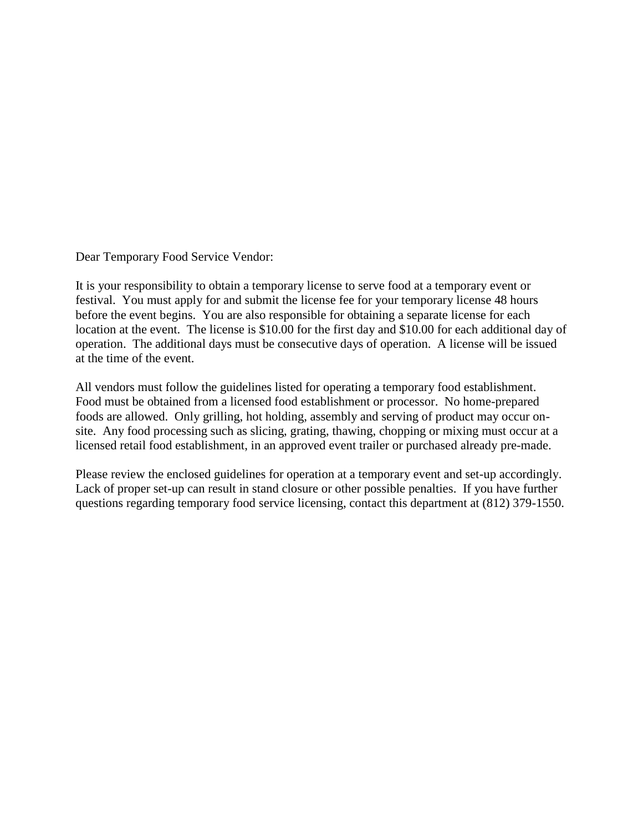Dear Temporary Food Service Vendor:

It is your responsibility to obtain a temporary license to serve food at a temporary event or festival. You must apply for and submit the license fee for your temporary license 48 hours before the event begins. You are also responsible for obtaining a separate license for each location at the event. The license is \$10.00 for the first day and \$10.00 for each additional day of operation. The additional days must be consecutive days of operation. A license will be issued at the time of the event.

All vendors must follow the guidelines listed for operating a temporary food establishment. Food must be obtained from a licensed food establishment or processor. No home-prepared foods are allowed. Only grilling, hot holding, assembly and serving of product may occur onsite. Any food processing such as slicing, grating, thawing, chopping or mixing must occur at a licensed retail food establishment, in an approved event trailer or purchased already pre-made.

Please review the enclosed guidelines for operation at a temporary event and set-up accordingly. Lack of proper set-up can result in stand closure or other possible penalties. If you have further questions regarding temporary food service licensing, contact this department at (812) 379-1550.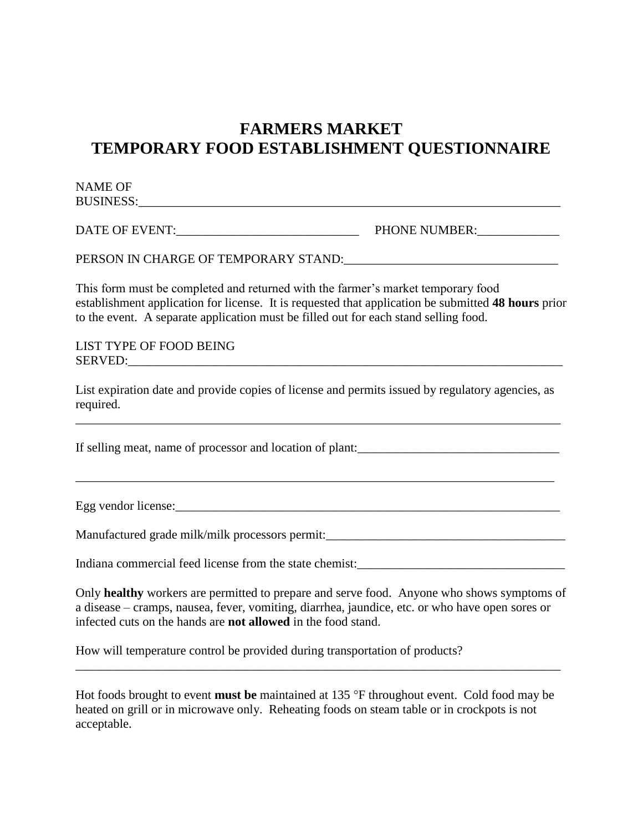## **FARMERS MARKET TEMPORARY FOOD ESTABLISHMENT QUESTIONNAIRE**

| <b>NAME OF</b>                                                                                                                                                                                                                                                                  |                                                                                                                  |
|---------------------------------------------------------------------------------------------------------------------------------------------------------------------------------------------------------------------------------------------------------------------------------|------------------------------------------------------------------------------------------------------------------|
|                                                                                                                                                                                                                                                                                 |                                                                                                                  |
| PERSON IN CHARGE OF TEMPORARY STAND: THE RESONANCE OF THE RESONANCE OF THE PROPERTY OF STANDIO                                                                                                                                                                                  |                                                                                                                  |
| This form must be completed and returned with the farmer's market temporary food<br>establishment application for license. It is requested that application be submitted 48 hours prior<br>to the event. A separate application must be filled out for each stand selling food. |                                                                                                                  |
| LIST TYPE OF FOOD BEING<br>SERVED:                                                                                                                                                                                                                                              |                                                                                                                  |
| List expiration date and provide copies of license and permits issued by regulatory agencies, as<br>required.                                                                                                                                                                   |                                                                                                                  |
|                                                                                                                                                                                                                                                                                 |                                                                                                                  |
|                                                                                                                                                                                                                                                                                 | and the control of the control of the control of the control of the control of the control of the control of the |
| Manufactured grade milk/milk processors permit:__________________________________                                                                                                                                                                                               |                                                                                                                  |
|                                                                                                                                                                                                                                                                                 |                                                                                                                  |
| Only healthy workers are permitted to prepare and serve food. Anyone who shows symptoms of<br>a disease - cramps, nausea, fever, vomiting, diarrhea, jaundice, etc. or who have open sores or<br>infected cuts on the hands are not allowed in the food stand.                  |                                                                                                                  |

How will temperature control be provided during transportation of products?

Hot foods brought to event **must be** maintained at 135 °F throughout event. Cold food may be heated on grill or in microwave only. Reheating foods on steam table or in crockpots is not acceptable.

\_\_\_\_\_\_\_\_\_\_\_\_\_\_\_\_\_\_\_\_\_\_\_\_\_\_\_\_\_\_\_\_\_\_\_\_\_\_\_\_\_\_\_\_\_\_\_\_\_\_\_\_\_\_\_\_\_\_\_\_\_\_\_\_\_\_\_\_\_\_\_\_\_\_\_\_\_